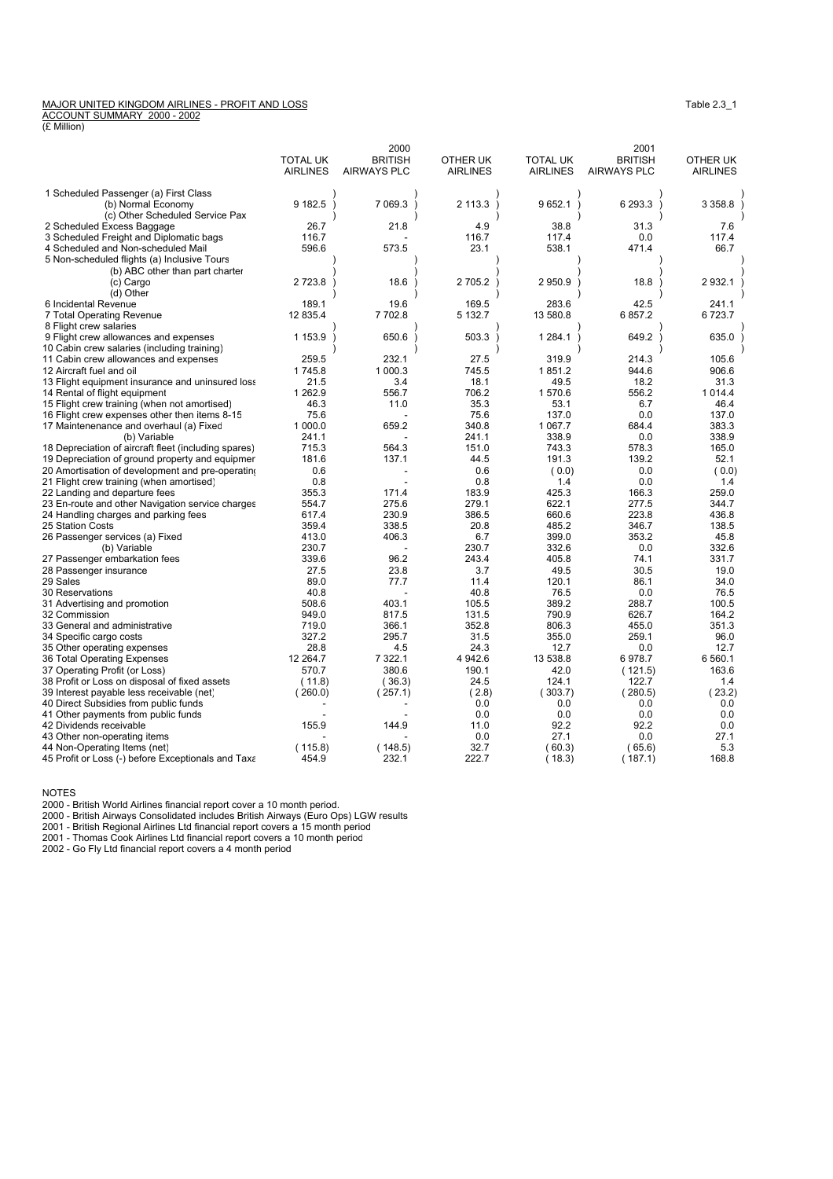## MAJOR UNITED KINGDOM AIRLINES - PROFIT AND LOSS<br><u>ACCOUNT SUMMARY 2000 - 2002</u><br>(£ Million)

|                                                      |                 | 2000               |                 |                 | 2001               |                 |
|------------------------------------------------------|-----------------|--------------------|-----------------|-----------------|--------------------|-----------------|
|                                                      | <b>TOTAL UK</b> | <b>BRITISH</b>     | OTHER UK        | <b>TOTAL UK</b> | <b>BRITISH</b>     | OTHER UK        |
|                                                      | <b>AIRLINES</b> | <b>AIRWAYS PLC</b> | <b>AIRLINES</b> | <b>AIRLINES</b> | <b>AIRWAYS PLC</b> | <b>AIRLINES</b> |
| 1 Scheduled Passenger (a) First Class                |                 |                    |                 |                 |                    |                 |
| (b) Normal Economy                                   | 9 182.5         | 7 0 69.3           | 2 113.3         | 9 652.1         | 6 293.3            | 3 3 5 8.8       |
| (c) Other Scheduled Service Pax                      |                 |                    |                 |                 |                    |                 |
| 2 Scheduled Excess Baggage                           | 26.7            | 21.8               | 4.9             | 38.8            | 31.3               | 7.6             |
| 3 Scheduled Freight and Diplomatic bags              | 116.7           |                    | 116.7           | 117.4           | 0.0                | 117.4           |
| 4 Scheduled and Non-scheduled Mail                   | 596.6           | 573.5              | 23.1            | 538.1           | 471.4              | 66.7            |
| 5 Non-scheduled flights (a) Inclusive Tours          |                 |                    |                 |                 |                    |                 |
| (b) ABC other than part charter                      |                 |                    |                 |                 |                    |                 |
| (c) Cargo                                            | 2723.8          | 18.6               | 2 705.2         | 2950.9          | 18.8               | 2 932.1         |
| (d) Other                                            |                 |                    |                 |                 |                    |                 |
| 6 Incidental Revenue                                 | 189.1           | 19.6               | 169.5           | 283.6           | 42.5               | 241.1           |
| 7 Total Operating Revenue                            | 12 835.4        | 7 702.8            | 5 132.7         | 13 580.8        | 6857.2             | 6723.7          |
| 8 Flight crew salaries                               |                 |                    |                 |                 |                    |                 |
| 9 Flight crew allowances and expenses                | 1 153.9         | 650.6              | 503.3           | 1 2 8 4 . 1     | 649.2              | 635.0           |
| 10 Cabin crew salaries (including training)          |                 |                    |                 |                 |                    |                 |
| 11 Cabin crew allowances and expenses                | 259.5           | 232.1              | 27.5            | 319.9           | 214.3              | 105.6           |
| 12 Aircraft fuel and oil                             | 1745.8          | 1 000.3            | 745.5           | 1851.2          | 944.6              | 906.6           |
| 13 Flight equipment insurance and uninsured loss     | 21.5            | 3.4                | 18.1            | 49.5            | 18.2               | 31.3            |
| 14 Rental of flight equipment                        | 1 2 6 2.9       | 556.7              | 706.2           | 1570.6          | 556.2              | 1 0 1 4 .4      |
| 15 Flight crew training (when not amortised)         | 46.3            | 11.0               | 35.3            | 53.1            | 6.7                | 46.4            |
| 16 Flight crew expenses other then items 8-15        | 75.6            |                    | 75.6            | 137.0           | 0.0                | 137.0           |
| 17 Maintenenance and overhaul (a) Fixed              | 1 000.0         | 659.2              | 340.8           | 1 0 6 7 . 7     | 684.4              | 383.3           |
| (b) Variable                                         | 241.1           |                    | 241.1           | 338.9           | 0.0                | 338.9           |
| 18 Depreciation of aircraft fleet (including spares) | 715.3           | 564.3              | 151.0           | 743.3           | 578.3              | 165.0           |
| 19 Depreciation of ground property and equipmer      | 181.6           | 137.1              | 44.5            | 191.3           | 139.2              | 52.1            |
| 20 Amortisation of development and pre-operating     | 0.6             |                    | 0.6             | (0.0)           | 0.0                | (0.0)           |
| 21 Flight crew training (when amortised)             | 0.8             |                    | 0.8             | 1.4             | 0.0                | 1.4             |
| 22 Landing and departure fees                        | 355.3           | 171.4              | 183.9           | 425.3           | 166.3              | 259.0           |
| 23 En-route and other Navigation service charges     | 554.7           | 275.6              | 279.1           | 622.1           | 277.5              | 344.7           |
| 24 Handling charges and parking fees                 | 617.4           | 230.9              | 386.5           | 660.6           | 223.8              | 436.8           |
| 25 Station Costs                                     | 359.4           | 338.5              | 20.8            | 485.2           | 346.7              | 138.5           |
| 26 Passenger services (a) Fixed                      | 413.0           | 406.3              | 6.7             | 399.0           | 353.2              | 45.8            |
| (b) Variable                                         | 230.7           |                    | 230.7           | 332.6           | 0.0                | 332.6           |
| 27 Passenger embarkation fees                        | 339.6           | 96.2               | 243.4           | 405.8           | 74.1               | 331.7           |
| 28 Passenger insurance                               | 27.5            | 23.8               | 3.7             | 49.5            | 30.5               | 19.0            |
| 29 Sales                                             | 89.0            | 77.7               | 11.4            | 120.1           | 86.1               | 34.0            |
| <b>30 Reservations</b>                               | 40.8            |                    | 40.8            | 76.5            | 0.0                | 76.5            |
| 31 Advertising and promotion                         | 508.6           | 403.1              | 105.5           | 389.2           | 288.7              | 100.5           |
| 32 Commission                                        | 949.0           | 817.5              | 131.5           | 790.9           | 626.7              | 164.2           |
| 33 General and administrative                        | 719.0           | 366.1              | 352.8           | 806.3           | 455.0              | 351.3           |
| 34 Specific cargo costs                              | 327.2           | 295.7              | 31.5            | 355.0           | 259.1              | 96.0            |
| 35 Other operating expenses                          | 28.8            | 4.5                | 24.3            | 12.7            | 0.0                | 12.7            |
| 36 Total Operating Expenses                          | 12 2 64.7       | 7 3 2 2.1          | 4 942.6         | 13 538.8        | 6978.7             | 6 560.1         |
| 37 Operating Profit (or Loss)                        | 570.7           | 380.6              | 190.1           | 42.0            | (121.5)            | 163.6           |
| 38 Profit or Loss on disposal of fixed assets        | (11.8)          | (36.3)             | 24.5            | 124.1           | 122.7              | 1.4             |
| 39 Interest payable less receivable (net)            | (260.0)         | (257.1)            | (2.8)           | (303.7)         | (280.5)            | (23.2)          |
| 40 Direct Subsidies from public funds                |                 |                    | 0.0             | 0.0             | 0.0                | 0.0             |
| 41 Other payments from public funds                  |                 |                    | 0.0             | 0.0             | 0.0                | 0.0             |
| 42 Dividends receivable                              | 155.9           | 144.9              | 11.0            | 92.2            | 92.2               | 0.0             |
| 43 Other non-operating items                         |                 |                    | 0.0             | 27.1            | 0.0                | 27.1            |
| 44 Non-Operating Items (net)                         | (115.8)         | (148.5)            | 32.7            | (60.3)          | (65.6)             | 5.3             |
| 45 Profit or Loss (-) before Exceptionals and Taxa   | 454.9           | 232.1              | 222.7           | (18.3)          | (187.1)            | 168.8           |

NOTES

2000 - British World Airlines financial report cover a 10 month period.<br>2000 - British Airways Consolidated includes British Airways (Euro Ops) LGW results<br>2001 - British Regional Airlines Ltd financial report covers a 15